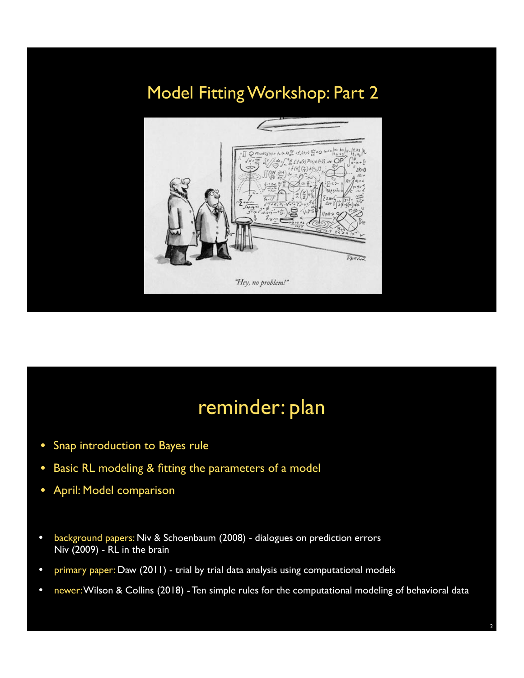### Model Fitting Workshop: Part 2



## reminder: plan

- Snap introduction to Bayes rule
- Basic RL modeling & fitting the parameters of a model
- April: Model comparison
- background papers: Niv & Schoenbaum (2008) dialogues on prediction errors Niv (2009) - RL in the brain
- primary paper: Daw (2011) trial by trial data analysis using computational models
- newer: Wilson & Collins (2018) Ten simple rules for the computational modeling of behavioral data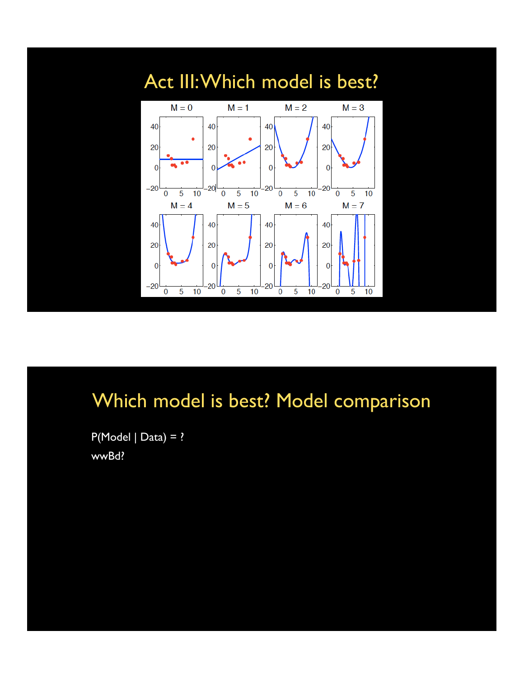

# Which model is best? Model comparison

 $P(Model | Data) = ?$ wwBd?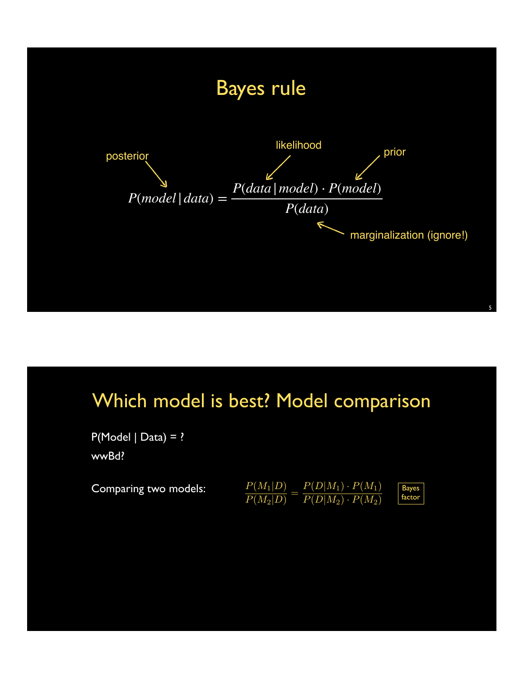

## Which model is best? Model comparison

 $P(Model | Data) = ?$ wwBd?

| Comparing two models: | $P(M_1 D)$ | $P(D M_1)\cdot P(M_1)$  |  |
|-----------------------|------------|-------------------------|--|
|                       | $P(M_2 D)$ | $P(D M_2) \cdot P(M_2)$ |  |

Bayes factor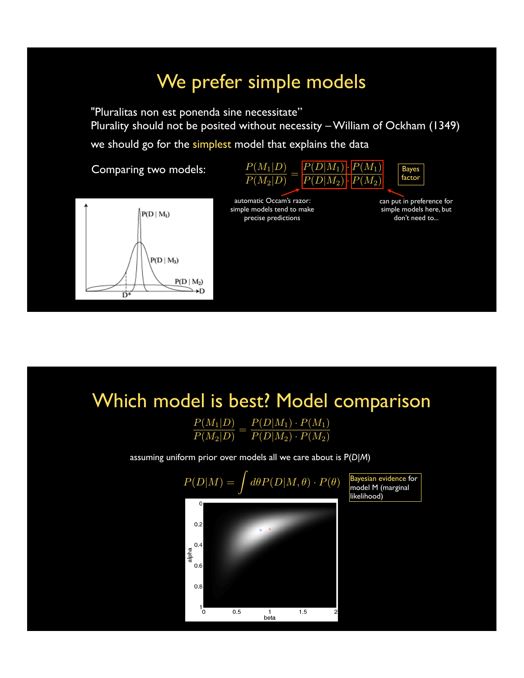## We prefer simple models

"Pluralitas non est ponenda sine necessitate" Plurality should not be posited without necessity – William of Ockham (1349)

we should go for the simplest model that explains the data

Comparing two models:





automatic Occam's razor: simple models tend to make precise predictions

can put in preference for simple models here, but don't need to...

## Which model is best? Model comparison

| $P(M_1 D)$ | $P(D M_1)\cdot P(M_1)$  |
|------------|-------------------------|
| $P(M_2 D)$ | $P(D M_2) \cdot P(M_2)$ |

assuming uniform prior over models all we care about is P(*D*|*M*)

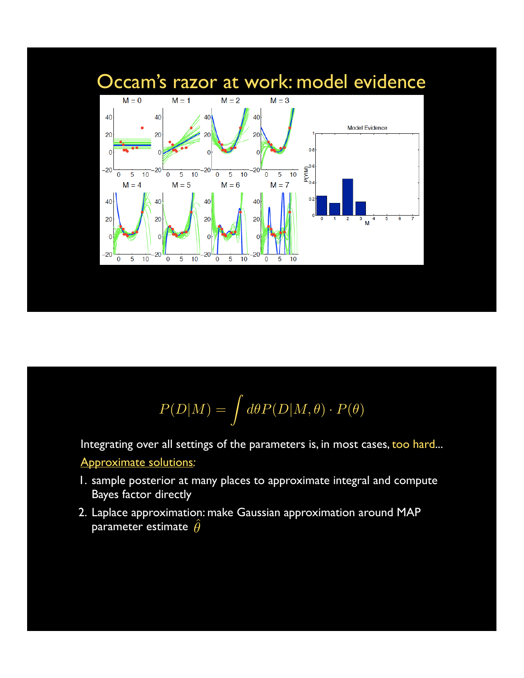

$$
P(D|M) = \int d\theta P(D|M, \theta) \cdot P(\theta)
$$

Integrating over all settings of the parameters is, in most cases, too hard...

#### • Approximate solutions*:*

- 1. sample posterior at many places to approximate integral and compute Bayes factor directly
- 2. Laplace approximation: make Gaussian approximation around MAP parameter estimate  $\hat{\theta}$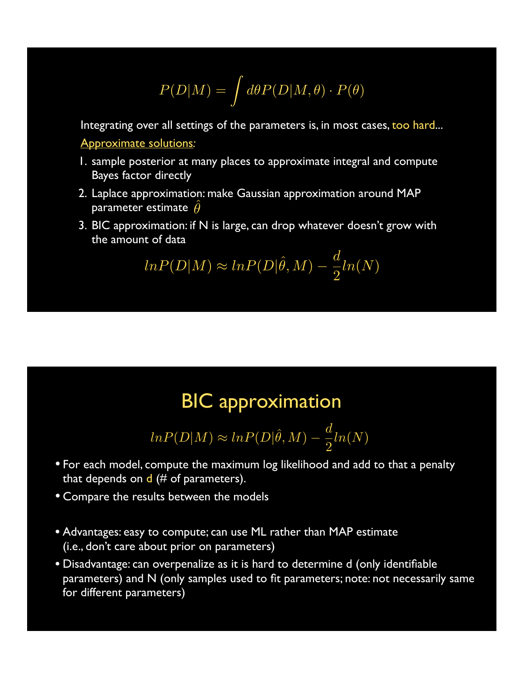$$
P(D|M) = \int d\theta P(D|M,\theta) \cdot P(\theta)
$$

Integrating over all settings of the parameters is, in most cases, too hard...

• Approximate solutions*:*

- 1. sample posterior at many places to approximate integral and compute Bayes factor directly
- 2. Laplace approximation: make Gaussian approximation around MAP parameter estimate  $\hat{\theta}$
- 3. BIC approximation: if N is large, can drop whatever doesn't grow with the amount of data

$$
ln P(D|M) \approx ln P(D|\hat{\theta}, M) - \frac{d}{2}ln(N)
$$

#### BIC approximation

$$
ln P(D|M) \approx ln P(D|\hat{\theta}, M) - \frac{d}{2}ln(N)
$$

- For each model, compute the maximum log likelihood and add to that a penalty that depends on  $d$  (# of parameters).
- Compare the results between the models
- Advantages: easy to compute; can use ML rather than MAP estimate (i.e., don't care about prior on parameters)
- Disadvantage: can overpenalize as it is hard to determine d (only identifiable parameters) and N (only samples used to fit parameters; note: not necessarily same for different parameters)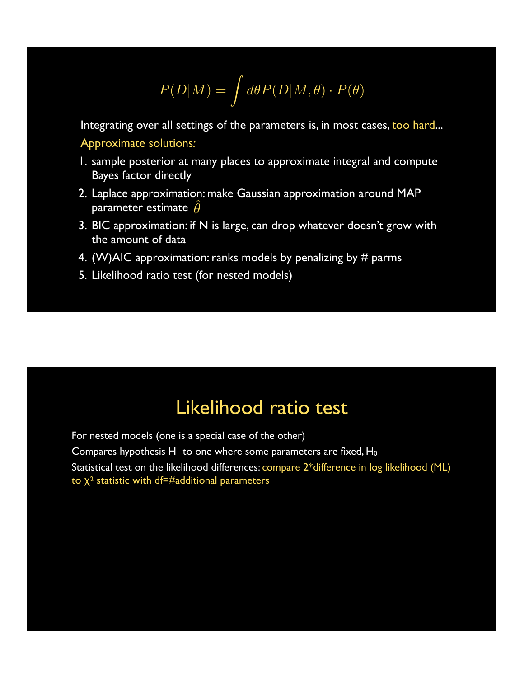$$
P(D|M) = \int d\theta P(D|M,\theta) \cdot P(\theta)
$$

Integrating over all settings of the parameters is, in most cases, too hard... • Approximate solutions*:*

- 1. sample posterior at many places to approximate integral and compute Bayes factor directly
- 2. Laplace approximation: make Gaussian approximation around MAP parameter estimate  $\hat{\theta}$
- 3. BIC approximation: if N is large, can drop whatever doesn't grow with the amount of data
- 4. (W)AIC approximation: ranks models by penalizing by  $\#$  parms
- 5. Likelihood ratio test (for nested models)

## Likelihood ratio test

For nested models (one is a special case of the other) Compares hypothesis  $H_1$  to one where some parameters are fixed,  $H_0$ • Statistical test on the likelihood differences: compare 2\*difference in log likelihood (ML) to  $\chi^2$  statistic with df=#additional parameters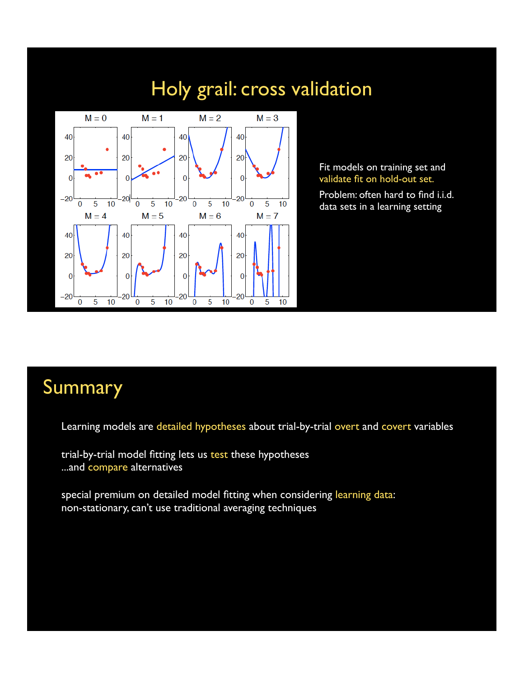## Holy grail: cross validation



Fit models on training set and validate fit on hold-out set.

Problem: often hard to find i.i.d. data sets in a learning setting

### Summary

Learning models are detailed hypotheses about trial-by-trial overt and covert variables

trial-by-trial model fitting lets us test these hypotheses ...and compare alternatives

special premium on detailed model fitting when considering learning data: non-stationary, can't use traditional averaging techniques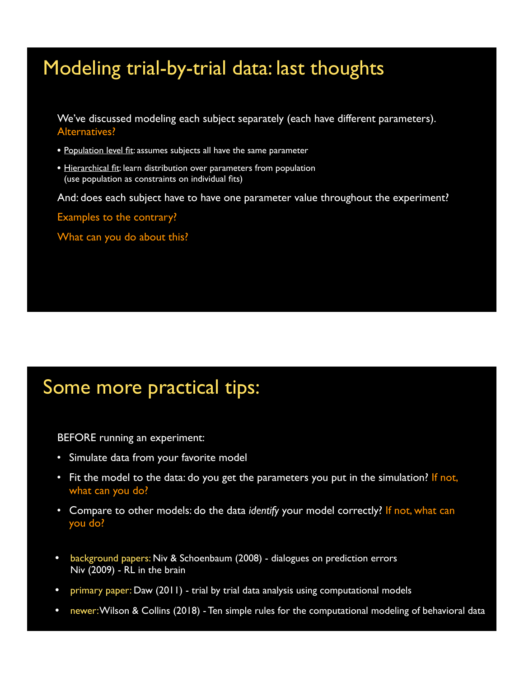## Modeling trial-by-trial data: last thoughts

• We've discussed modeling each subject separately (each have different parameters). Alternatives?

- Population level fit: assumes subjects all have the same parameter
- Hierarchical fit: learn distribution over parameters from population (use population as constraints on individual fits)

And: does each subject have to have one parameter value throughout the experiment?

Examples to the contrary?

What can you do about this?

## Some more practical tips:

BEFORE running an experiment:

- Simulate data from your favorite model
- Fit the model to the data: do you get the parameters you put in the simulation? If not, what can you do?
- Compare to other models: do the data *identify* your model correctly? If not, what can you do?
- background papers: Niv & Schoenbaum (2008) dialogues on prediction errors Niv (2009) - RL in the brain
- primary paper: Daw (2011) trial by trial data analysis using computational models
- newer: Wilson & Collins (2018) Ten simple rules for the computational modeling of behavioral data